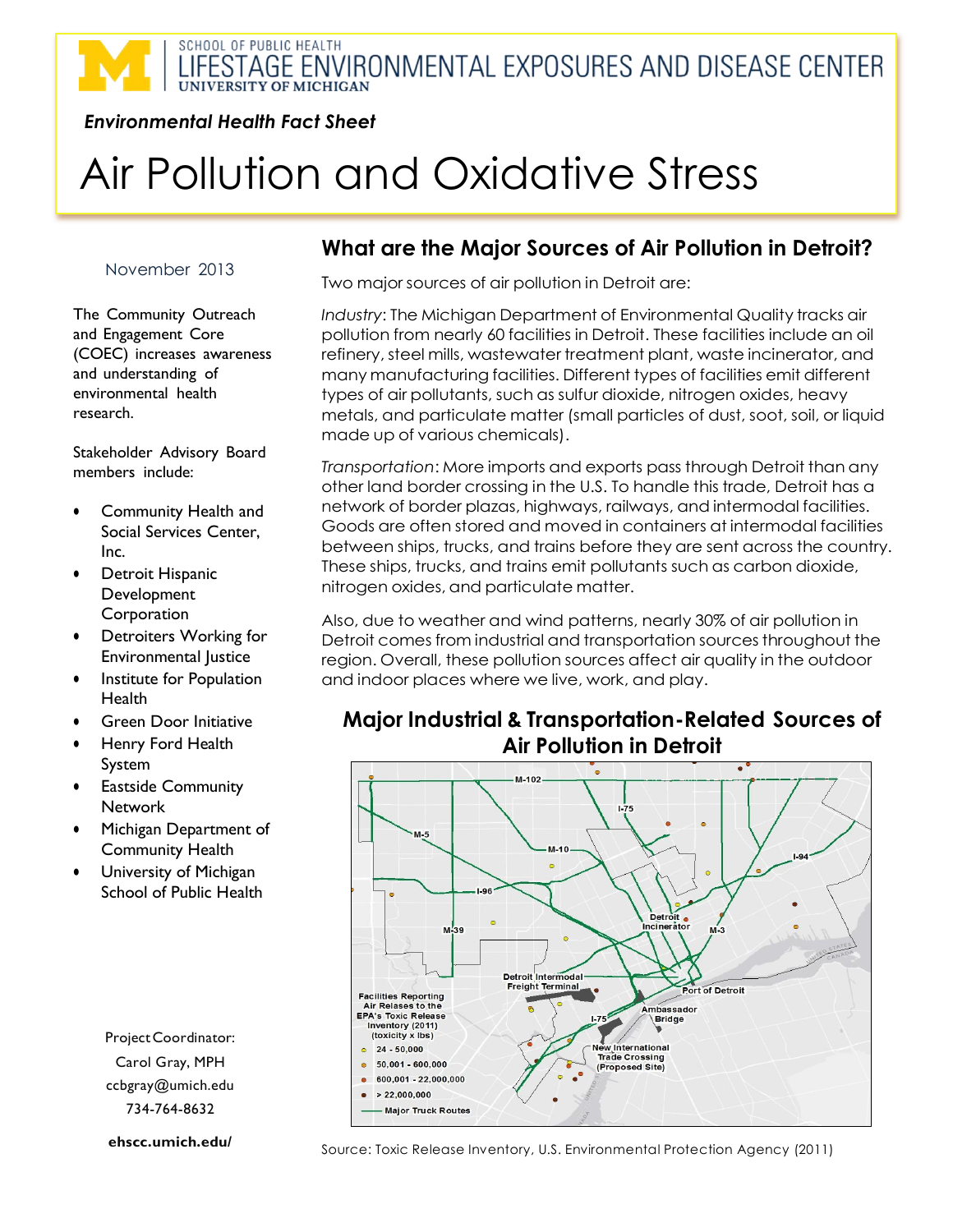# SCHOOL OF PUBLIC HEALTH LIFESTAGE ENVIRONMENTAL EXPOSURES AND DISEASE CENTER

#### *Environmental Health Fact Sheet*

# Air Pollution and Oxidative Stress

#### November 2013

The Community Outreach and Engagement Core (COEC) increases awareness and understanding of environmental health research.

Stakeholder Advisory Board members include:

- Community Health and Social Services Center, Inc.
- **•** Detroit Hispanic Development Corporation
- Detroiters Working for Environmental Justice
- **•** Institute for Population Health
- **•** Green Door Initiative
- Henry Ford Health System
- **•** Eastside Community **Network**
- Michigan Department of Community Health
- University of Michigan School of Public Health

ProjectCoordinator: Carol Gray, MPH ccbgray@umich.edu 734-764-8632

**[ehscc.umich.edu/](http://www.sph.umich.edu/niehs/)**

### **What are the Major Sources of Air Pollution in Detroit?**

Two major sources of air pollution in Detroit are:

*Industry*: The Michigan Department of Environmental Quality tracks air pollution from nearly 60 facilities in Detroit. These facilities include an oil refinery, steel mills, wastewater treatment plant, waste incinerator, and many manufacturing facilities. Different types of facilities emit different types of air pollutants, such as sulfur dioxide, nitrogen oxides, heavy metals, and particulate matter (small particles of dust, soot, soil, or liquid made up of various chemicals).

*Transportation*: More imports and exports pass through Detroit than any other land border crossing in the U.S. To handle this trade, Detroit has a network of border plazas, highways, railways, and intermodal facilities. Goods are often stored and moved in containers at intermodal facilities between ships, trucks, and trains before they are sent across the country. These ships, trucks, and trains emit pollutants such as carbon dioxide, nitrogen oxides, and particulate matter.

Also, due to weather and wind patterns, nearly 30% of air pollution in Detroit comes from industrial and transportation sources throughout the region. Overall, these pollution sources affect air quality in the outdoor and indoor places where we live, work, and play.

### **Major Industrial & Transportation-Related Sources of Air Pollution in Detroit**



Source: Toxic Release Inventory, U.S. Environmental Protection Agency (2011)